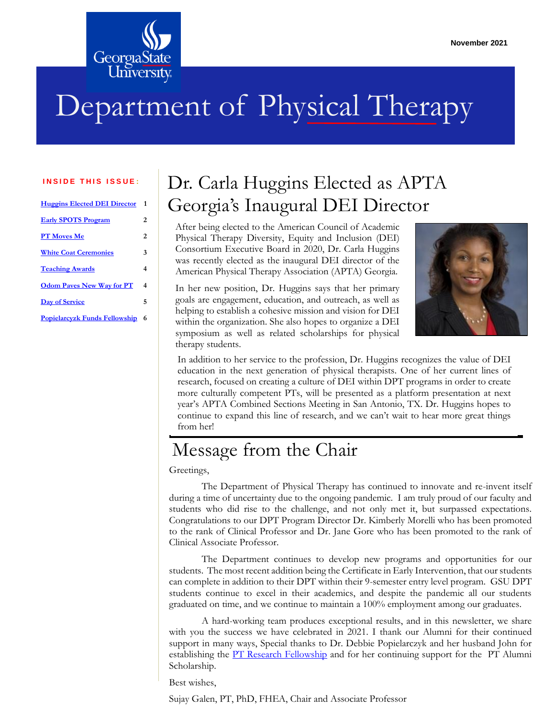

# Department of Physical Therapy

#### **INSIDE THIS ISSUE:**

| <b>Huggins Elected DEI Director</b>  | 1   |
|--------------------------------------|-----|
| <b>Early SPOTS Program</b>           | 2   |
| <b>PT Moves Me</b>                   | 2   |
| <b>White Coat Ceremonies</b>         | 3   |
| <b>Teaching Awards</b>               | 4   |
| <b>Odom Paves New Way for PT</b>     | 4   |
| Day of Service                       | 5   |
| <b>Popielarcyzk Funds Fellowship</b> | - 6 |

### <span id="page-0-0"></span>Dr. Carla Huggins Elected as APTA Georgia's Inaugural DEI Director

After being elected to the American Council of Academic Physical Therapy Diversity, Equity and Inclusion (DEI) Consortium Executive Board in 2020, Dr. Carla Huggins was recently elected as the inaugural DEI director of the American Physical Therapy Association (APTA) Georgia.

In her new position, Dr. Huggins says that her primary goals are engagement, education, and outreach, as well as helping to establish a cohesive mission and vision for DEI within the organization. She also hopes to organize a DEI symposium as well as related scholarships for physical therapy students.



In addition to her service to the profession, Dr. Huggins recognizes the value of DEI education in the next generation of physical therapists. One of her current lines of research, focused on creating a culture of DEI within DPT programs in order to create more culturally competent PTs, will be presented as a platform presentation at next year's APTA Combined Sections Meeting in San Antonio, TX. Dr. Huggins hopes to continue to expand this line of research, and we can't wait to hear more great things from her!

### Message from the Chair

Greetings,

The Department of Physical Therapy has continued to innovate and re-invent itself during a time of uncertainty due to the ongoing pandemic. I am truly proud of our faculty and students who did rise to the challenge, and not only met it, but surpassed expectations. Congratulations to our DPT Program Director Dr. Kimberly Morelli who has been promoted to the rank of Clinical Professor and Dr. Jane Gore who has been promoted to the rank of Clinical Associate Professor.

The Department continues to develop new programs and opportunities for our students. The most recent addition being the Certificate in Early Intervention, that our students can complete in addition to their DPT within their 9-semester entry level program. GSU DPT students continue to excel in their academics, and despite the pandemic all our students graduated on time, and we continue to maintain a 100% employment among our graduates.

A hard-working team produces exceptional results, and in this newsletter, we share with you the success we have celebrated in 2021. I thank our Alumni for their continued support in many ways, Special thanks to Dr. Debbie Popielarczyk and her husband John for establishing the <u>PT Research Fellowship</u> and for her continuing support for the PT Alumni Scholarship.

Best wishes,

Sujay Galen, PT, PhD, FHEA, Chair and Associate Professor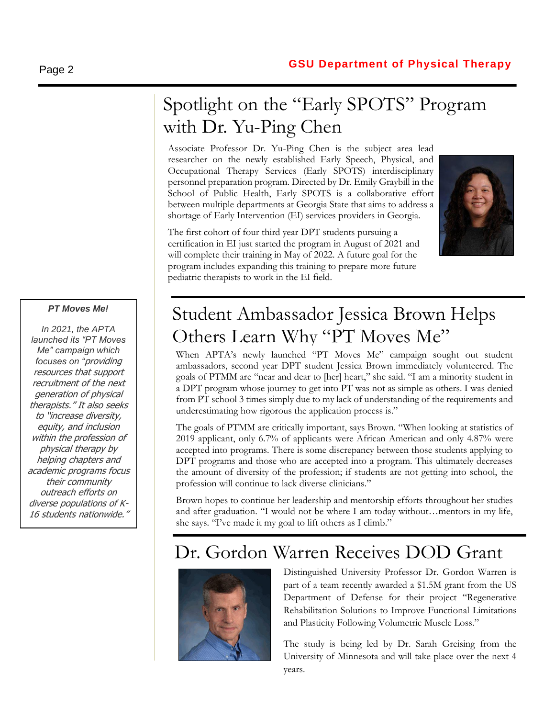## <span id="page-1-0"></span>Spotlight on the "Early SPOTS" Program with Dr. Yu-Ping Chen

Associate Professor Dr. Yu-Ping Chen is the subject area lead researcher on the newly established Early Speech, Physical, and Occupational Therapy Services (Early SPOTS) interdisciplinary personnel preparation program. Directed by Dr. Emily Graybill in the School of Public Health, Early SPOTS is a collaborative effort between multiple departments at Georgia State that aims to address a shortage of Early Intervention (EI) services providers in Georgia.

The first cohort of four third year DPT students pursuing a certification in EI just started the program in August of 2021 and will complete their training in May of 2022. A future goal for the program includes expanding this training to prepare more future pediatric therapists to work in the EI field.



#### *PT Moves Me!*

*In 2021, the APTA launched its "PT Moves Me" campaign which focuses on "*providing resources that support recruitment of the next generation of physical therapists." It also seeks to "increase diversity, equity, and inclusion within the profession of physical therapy by helping chapters and academic programs focus their community outreach efforts on diverse populations of K-16 students nationwide."

## <span id="page-1-1"></span>Student Ambassador Jessica Brown Helps Others Learn Why "PT Moves Me"

When APTA's newly launched "PT Moves Me" campaign sought out student ambassadors, second year DPT student Jessica Brown immediately volunteered. The goals of PTMM are "near and dear to [her] heart," she said. "I am a minority student in a DPT program whose journey to get into PT was not as simple as others. I was denied from PT school 3 times simply due to my lack of understanding of the requirements and underestimating how rigorous the application process is."

The goals of PTMM are critically important, says Brown. "When looking at statistics of 2019 applicant, only 6.7% of applicants were African American and only 4.87% were accepted into programs. There is some discrepancy between those students applying to DPT programs and those who are accepted into a program. This ultimately decreases the amount of diversity of the profession; if students are not getting into school, the profession will continue to lack diverse clinicians."

Brown hopes to continue her leadership and mentorship efforts throughout her studies and after graduation. "I would not be where I am today without…mentors in my life, she says. "I've made it my goal to lift others as I climb."

### Dr. Gordon Warren Receives DOD Grant



Distinguished University Professor Dr. Gordon Warren is part of a team recently awarded a \$1.5M grant from the US Department of Defense for their project "Regenerative Rehabilitation Solutions to Improve Functional Limitations and Plasticity Following Volumetric Muscle Loss."

The study is being led by Dr. Sarah Greising from the University of Minnesota and will take place over the next 4 years.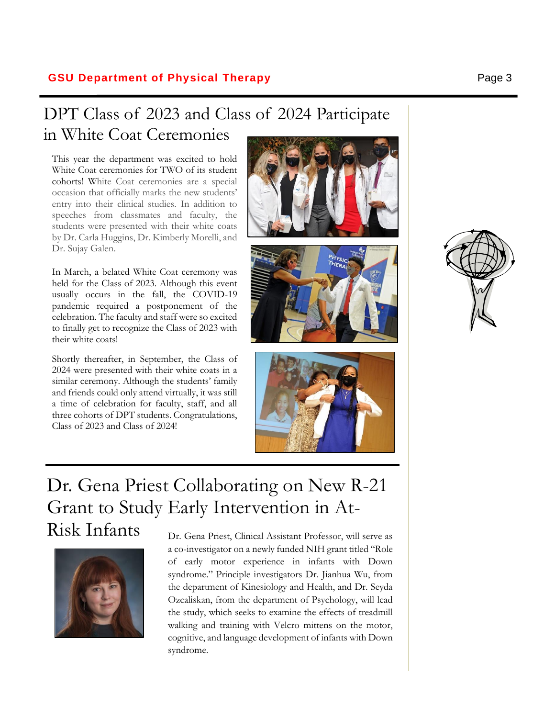### **GSU Department of Physical Therapy Page 3**

### <span id="page-2-0"></span>DPT Class of 2023 and Class of 2024 Participate in White Coat Ceremonies

This year the department was excited to hold White Coat ceremonies for TWO of its student cohorts! White Coat ceremonies are a special occasion that officially marks the new students' entry into their clinical studies. In addition to speeches from classmates and faculty, the students were presented with their white coats by Dr. Carla Huggins, Dr. Kimberly Morelli, and Dr. Sujay Galen.

In March, a belated White Coat ceremony was held for the Class of 2023. Although this event usually occurs in the fall, the COVID-19 pandemic required a postponement of the celebration. The faculty and staff were so excited to finally get to recognize the Class of 2023 with their white coats!

Shortly thereafter, in September, the Class of 2024 were presented with their white coats in a similar ceremony. Although the students' family and friends could only attend virtually, it was still a time of celebration for faculty, staff, and all three cohorts of DPT students. Congratulations, Class of 2023 and Class of 2024!







# Dr. Gena Priest Collaborating on New R-21 Grant to Study Early Intervention in At-



Risk Infants <sub>Dr. Gena</sub> Priest, Clinical Assistant Professor, will serve as a co-investigator on a newly funded NIH grant titled "Role of early motor experience in infants with Down syndrome." Principle investigators Dr. Jianhua Wu, from the department of Kinesiology and Health, and Dr. Seyda Ozcaliskan, from the department of Psychology, will lead the study, which seeks to examine the effects of treadmill walking and training with Velcro mittens on the motor, cognitive, and language development of infants with Down syndrome.

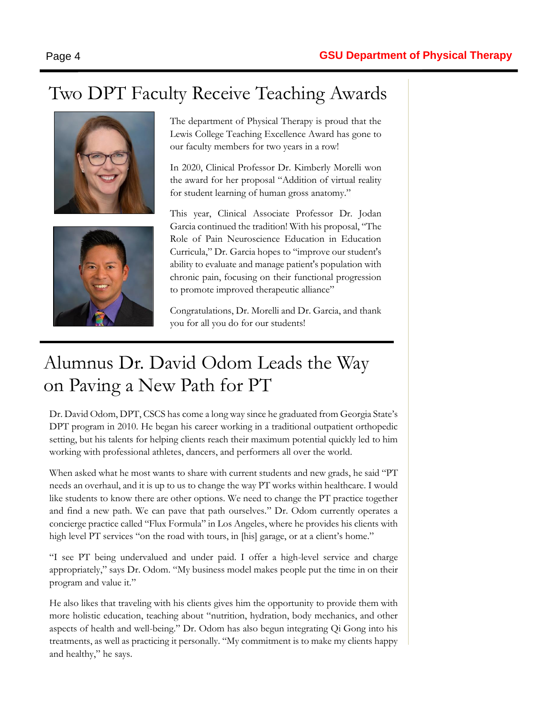### <span id="page-3-0"></span>Two DPT Faculty Receive Teaching Awards





The department of Physical Therapy is proud that the Lewis College Teaching Excellence Award has gone to our faculty members for two years in a row!

In 2020, Clinical Professor Dr. Kimberly Morelli won the award for her proposal "Addition of virtual reality for student learning of human gross anatomy."

This year, Clinical Associate Professor Dr. Jodan Garcia continued the tradition! With his proposal, "The Role of Pain Neuroscience Education in Education Curricula," Dr. Garcia hopes to "improve our student's ability to evaluate and manage patient's population with chronic pain, focusing on their functional progression to promote improved therapeutic alliance"

Congratulations, Dr. Morelli and Dr. Garcia, and thank you for all you do for our students!

### <span id="page-3-1"></span>Alumnus Dr. David Odom Leads the Way on Paving a New Path for PT

Dr. David Odom, DPT, CSCS has come a long way since he graduated from Georgia State's DPT program in 2010. He began his career working in a traditional outpatient orthopedic setting, but his talents for helping clients reach their maximum potential quickly led to him working with professional athletes, dancers, and performers all over the world.

When asked what he most wants to share with current students and new grads, he said "PT needs an overhaul, and it is up to us to change the way PT works within healthcare. I would like students to know there are other options. We need to change the PT practice together and find a new path. We can pave that path ourselves." Dr. Odom currently operates a concierge practice called "Flux Formula" in Los Angeles, where he provides his clients with high level PT services "on the road with tours, in [his] garage, or at a client's home."

"I see PT being undervalued and under paid. I offer a high-level service and charge appropriately," says Dr. Odom. "My business model makes people put the time in on their program and value it."

He also likes that traveling with his clients gives him the opportunity to provide them with more holistic education, teaching about "nutrition, hydration, body mechanics, and other aspects of health and well-being." Dr. Odom has also begun integrating Qi Gong into his treatments, as well as practicing it personally. "My commitment is to make my clients happy and healthy," he says.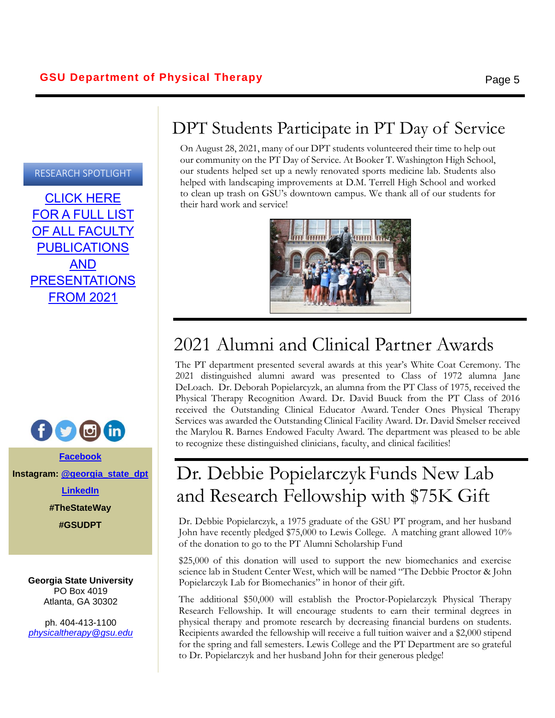### RESEARCH SPOTLIGHT

[CLICK HERE](https://lewis.gsu.edu/pt/pt-research-labs/research-publications/)  [FOR A FULL LIST](https://lewis.gsu.edu/pt/pt-research-labs/research-publications/)  [OF ALL FACULTY](https://lewis.gsu.edu/pt/pt-research-labs/research-publications/)  [PUBLICATIONS](https://lewis.gsu.edu/pt/pt-research-labs/research-publications/)  [AND](https://lewis.gsu.edu/pt/pt-research-labs/research-publications/)  [PRESENTATIONS](https://lewis.gsu.edu/pt/pt-research-labs/research-publications/)  [FROM 2021](https://lewis.gsu.edu/pt/pt-research-labs/research-publications/)



**[Facebook](http://www.facebook.com/gsu.pt) Instagram: [@georgia\\_state\\_dpt](https://www.instagram.com/georgia_state_dpt/)**

**[LinkedIn](https://www.linkedin.com/company/georgia-state-university-department-of-physical-therapy/)**

**#TheStateWay**

**#GSUDPT**

**Georgia State University** PO Box 4019 Atlanta, GA 30302

ph. 404-413-1100 *[physicaltherapy@gsu.edu](mailto:physicaltherapy@gsu.edu)*

### <span id="page-4-0"></span>DPT Students Participate in PT Day of Service

On August 28, 2021, many of our DPT students volunteered their time to help out our community on the PT Day of Service. At Booker T. Washington High School, our students helped set up a newly renovated sports medicine lab. Students also helped with landscaping improvements at D.M. Terrell High School and worked to clean up trash on GSU's downtown campus. We thank all of our students for their hard work and service!



# 2021 Alumni and Clinical Partner Awards

The PT department presented several awards at this year's White Coat Ceremony. The 2021 distinguished alumni award was presented to Class of 1972 alumna Jane DeLoach. Dr. Deborah Popielarcyzk, an alumna from the PT Class of 1975, received the Physical Therapy Recognition Award. Dr. David Buuck from the PT Class of 2016 received the Outstanding Clinical Educator Award. Tender Ones Physical Therapy Services was awarded the Outstanding Clinical Facility Award. Dr. David Smelser received the Marylou R. Barnes Endowed Faculty Award. The department was pleased to be able to recognize these distinguished clinicians, faculty, and clinical facilities!

## <span id="page-4-1"></span>Dr. Debbie Popielarczyk Funds New Lab and Research Fellowship with \$75K Gift

Dr. Debbie Popielarczyk, a 1975 graduate of the GSU PT program, and her husband John have recently pledged \$75,000 to Lewis College. A matching grant allowed 10% of the donation to go to the PT Alumni Scholarship Fund

\$25,000 of this donation will used to support the new biomechanics and exercise science lab in Student Center West, which will be named "The Debbie Proctor & John Popielarczyk Lab for Biomechanics" in honor of their gift.

The additional \$50,000 will establish the Proctor-Popielarczyk Physical Therapy Research Fellowship. It will encourage students to earn their terminal degrees in physical therapy and promote research by decreasing financial burdens on students. Recipients awarded the fellowship will receive a full tuition waiver and a \$2,000 stipend for the spring and fall semesters. Lewis College and the PT Department are so grateful to Dr. Popielarczyk and her husband John for their generous pledge!